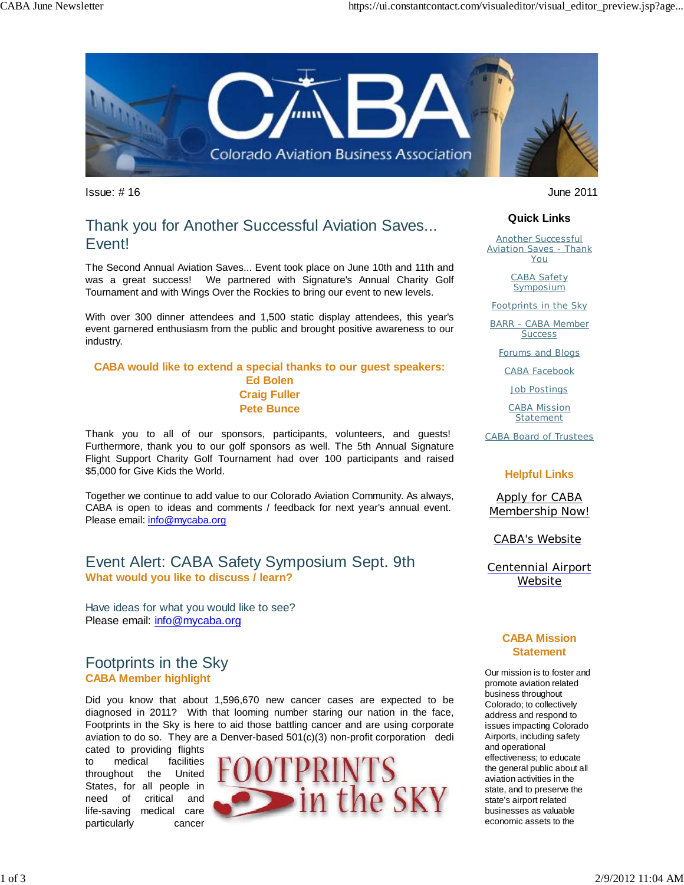

 $\blacksquare$ Issue: # 16 June 2011

# Thank you for Another Successful Aviation Saves... Event!

The Second Annual Aviation Saves... Event took place on June 10th and 11th and was a great success! We partnered with Signature's Annual Charity Golf Tournament and with Wings Over the Rockies to bring our event to new levels.

With over 300 dinner attendees and 1,500 static display attendees, this year's event garnered enthusiasm from the public and brought positive awareness to our industry.

#### **CABA would like to extend a special thanks to our guest speakers: Ed Bolen Craig Fuller Pete Bunce**

Thank you to all of our sponsors, participants, volunteers, and guests! Furthermore, thank you to our golf sponsors as well. The 5th Annual Signature Flight Support Charity Golf Tournament had over 100 participants and raised \$5,000 for Give Kids the World.

Together we continue to add value to our Colorado Aviation Community. As always, CABA is open to ideas and comments / feedback for next year's annual event. Please email: info@mycaba.org

### Event Alert: CABA Safety Symposium Sept. 9th **What would you like to discuss / learn?**

Have ideas for what you would like to see? Please email: info@mycaba.org

## Footprints in the Sky **CABA Member highlight**

Did you know that about 1,596,670 new cancer cases are expected to be diagnosed in 2011? With that looming number staring our nation in the face, Footprints in the Sky is here to aid those battling cancer and are using corporate aviation to do so. They are a Denver-based 501(c)(3) non-profit corporation dedi

cated to providing flights to medical facilities throughout the United States, for all people in need of critical and life-saving medical care particularly cancer



#### **Quick Links**

Another Successful **Aviation Saves - Thank** You

> CABA Safety **Symposium**

Footprints in the Sky

BARR - CABA Member **Success** 

Forums and Blogs

CABA Facebook

Job Postings

CABA Mission Statement

CABA Board of Trustees

#### **Helpful Links**

Apply for CABA Membership Now!

CABA's Website

Centennial Airport Website

#### **CABA Mission Statement**

Our mission is to foster and promote aviation related business throughout Colorado; to collectively address and respond to issues impacting Colorado Airports, including safety and operational effectiveness; to educate the general public about all aviation activities in the state, and to preserve the state's airport related businesses as valuable economic assets to the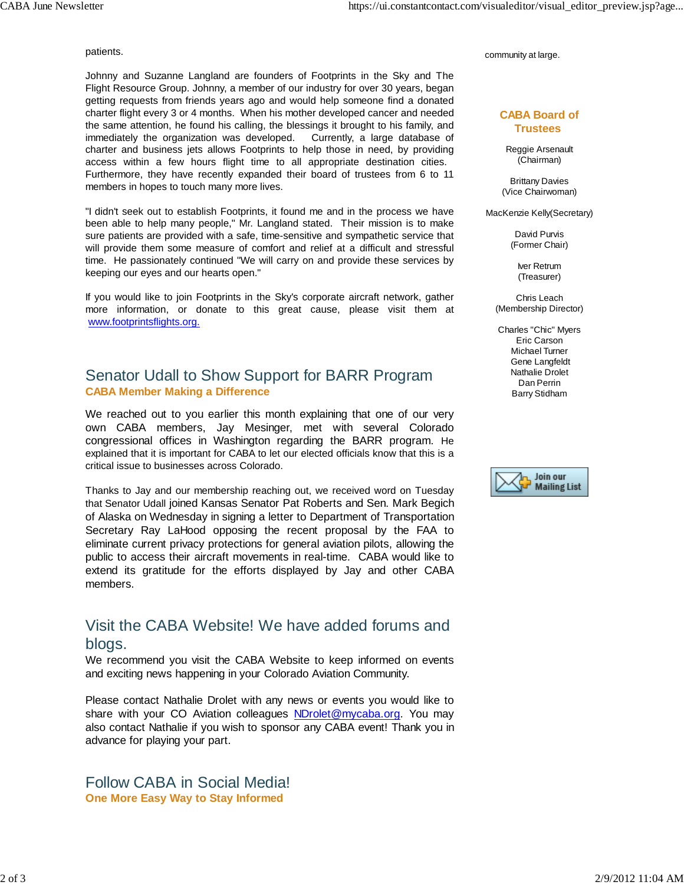#### patients.

Johnny and Suzanne Langland are founders of Footprints in the Sky and The Flight Resource Group. Johnny, a member of our industry for over 30 years, began getting requests from friends years ago and would help someone find a donated charter flight every 3 or 4 months. When his mother developed cancer and needed the same attention, he found his calling, the blessings it brought to his family, and immediately the organization was developed. Currently, a large database of charter and business jets allows Footprints to help those in need, by providing access within a few hours flight time to all appropriate destination cities. Furthermore, they have recently expanded their board of trustees from 6 to 11 members in hopes to touch many more lives.

"I didn't seek out to establish Footprints, it found me and in the process we have been able to help many people," Mr. Langland stated. Their mission is to make sure patients are provided with a safe, time-sensitive and sympathetic service that will provide them some measure of comfort and relief at a difficult and stressful time. He passionately continued "We will carry on and provide these services by keeping our eyes and our hearts open."

If you would like to join Footprints in the Sky's corporate aircraft network, gather more information, or donate to this great cause, please visit them at www.footprintsflights.org.

### Senator Udall to Show Support for BARR Program **CABA Member Making a Difference**

We reached out to you earlier this month explaining that one of our very own CABA members, Jay Mesinger, met with several Colorado congressional offices in Washington regarding the BARR program. He explained that it is important for CABA to let our elected officials know that this is a critical issue to businesses across Colorado.

Thanks to Jay and our membership reaching out, we received word on Tuesday that Senator Udall joined Kansas Senator Pat Roberts and Sen. Mark Begich of Alaska on Wednesday in signing a letter to Department of Transportation Secretary Ray LaHood opposing the recent proposal by the FAA to eliminate current privacy protections for general aviation pilots, allowing the public to access their aircraft movements in real-time. CABA would like to extend its gratitude for the efforts displayed by Jay and other CABA members.

## Visit the CABA Website! We have added forums and blogs.

We recommend you visit the CABA Website to keep informed on events and exciting news happening in your Colorado Aviation Community.

Please contact Nathalie Drolet with any news or events you would like to share with your CO Aviation colleagues NDrolet@mycaba.org. You may also contact Nathalie if you wish to sponsor any CABA event! Thank you in advance for playing your part.

Follow CABA in Social Media! **One More Easy Way to Stay Informed**

community at large.

#### **CABA Board of Trustees**

Reggie Arsenault (Chairman)

Brittany Davies (Vice Chairwoman)

MacKenzie Kelly(Secretary)

David Purvis (Former Chair)

> Iver Retrum (Treasurer)

Chris Leach (Membership Director)

Charles "Chic" Myers Eric Carson Michael Turner Gene Langfeldt Nathalie Drolet Dan Perrin Barry Stidham